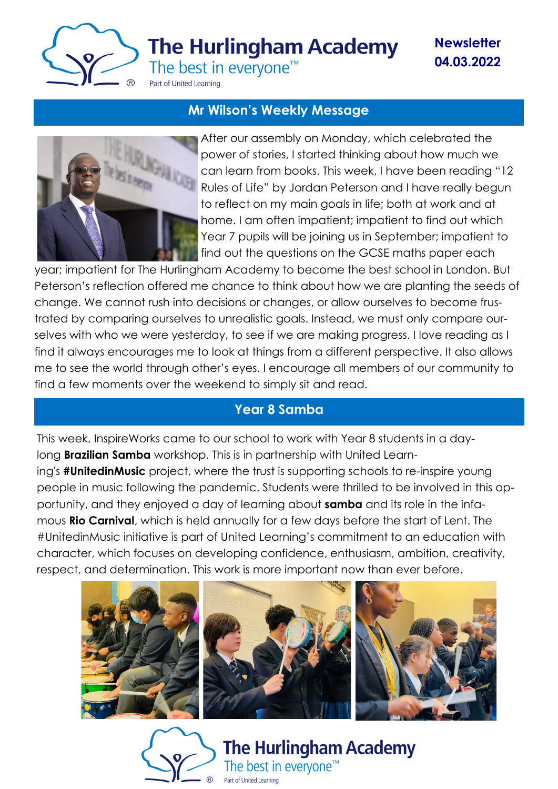

**The Hurlingham Academy** 

**Newsletter 04.03.2022**

The best in everyone<sup>™</sup>

Part of United Learning

#### **Mr Wilson's Weekly Message**



After our assembly on Monday, which celebrated the power of stories, I started thinking about how much we can learn from books. This week, I have been reading "12 Rules of Life" by Jordan Peterson and I have really begun to reflect on my main goals in life; both at work and at home. I am often impatient; impatient to find out which Year 7 pupils will be joining us in September; impatient to find out the questions on the GCSE maths paper each

year; impatient for The Hurlingham Academy to become the best school in London. But Peterson's reflection offered me chance to think about how we are planting the seeds of change. We cannot rush into decisions or changes, or allow ourselves to become frustrated by comparing ourselves to unrealistic goals. Instead, we must only compare ourselves with who we were yesterday, to see if we are making progress. I love reading as I find it always encourages me to look at things from a different perspective. It also allows me to see the world through other's eyes. I encourage all members of our community to find a few moments over the weekend to simply sit and read.

## **Year 8 Samba**

This week, InspireWorks came to our school to work with Year 8 students in a daylong **Brazilian Samba** workshop. This is in partnership with United Learning's **#UnitedinMusic** project, where the trust is supporting schools to re-inspire young people in music following the pandemic. Students were thrilled to be involved in this opportunity, and they enjoyed a day of learning about **samba** and its role in the infamous **Rio Carnival**, which is held annually for a few days before the start of Lent. The #UnitedinMusic initiative is part of United Learning's commitment to an education with character, which focuses on developing confidence, enthusiasm, ambition, creativity, respect, and determination. This work is more important now than ever before.



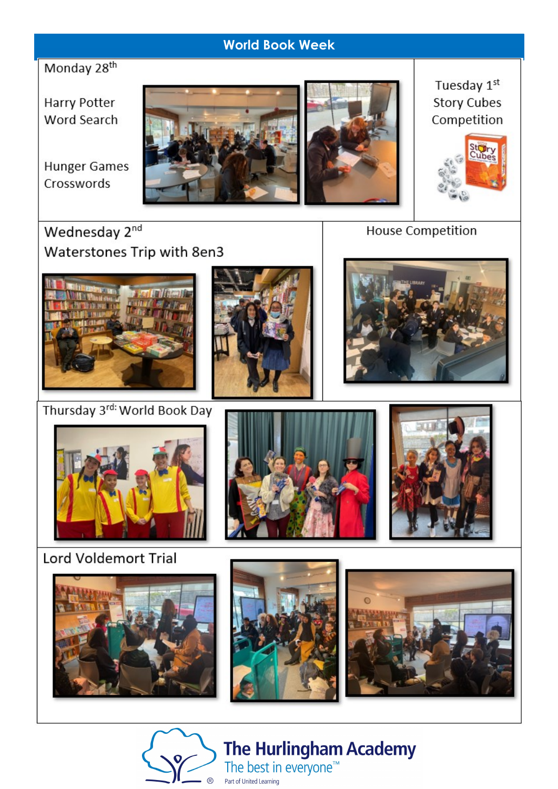## **World Book Week**

Monday 28<sup>th</sup>

**Harry Potter** Word Search

**Hunger Games** Crosswords





Tuesday 1st **Story Cubes** Competition



Wednesday 2nd Waterstones Trip with 8en3



Thursday 3rd: World Book Day



**House Competition** 





**Lord Voldemort Trial** 









**The Hurlingham Academy** The best in everyone<sup>™</sup> Part of United Learning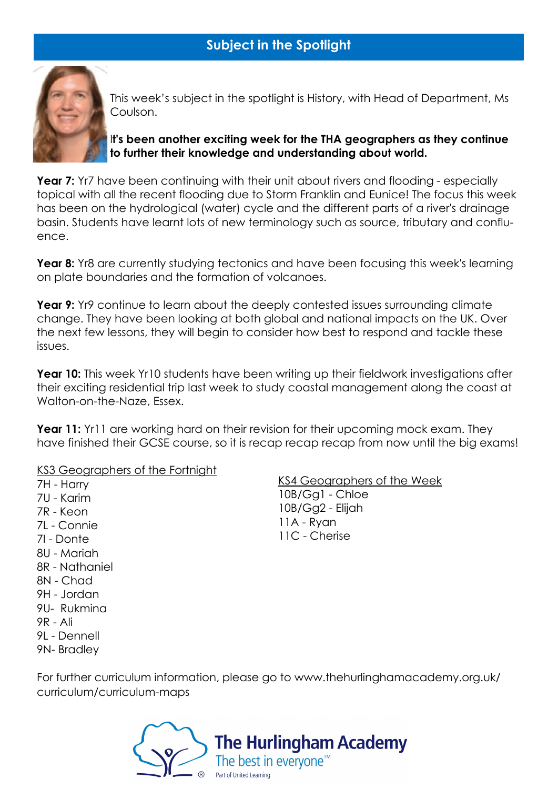## **Subject in the Spotlight**



This week's subject in the spotlight is History, with Head of Department, Ms Coulson.

I**t's been another exciting week for the THA geographers as they continue to further their knowledge and understanding about world.**

**Year 7:** Yr7 have been continuing with their unit about rivers and flooding - especially topical with all the recent flooding due to Storm Franklin and Eunice! The focus this week has been on the hydrological (water) cycle and the different parts of a river's drainage basin. Students have learnt lots of new terminology such as source, tributary and confluence.

**Year 8:** Yr8 are currently studying tectonics and have been focusing this week's learning on plate boundaries and the formation of volcanoes.

**Year 9:** Yr9 continue to learn about the deeply contested issues surrounding climate change. They have been looking at both global and national impacts on the UK. Over the next few lessons, they will begin to consider how best to respond and tackle these issues.

**Year 10:** This week Yr10 students have been writing up their fieldwork investigations after their exciting residential trip last week to study coastal management along the coast at Walton-on-the-Naze, Essex.

**Year 11:** Yr11 are working hard on their revision for their upcoming mock exam. They have finished their GCSE course, so it is recap recap recap from now until the big exams!

KS3 Geographers of the Fortnight

7H - Harry 7U - Karim 7R - Keon 7L - Connie 7I - Donte 8U - Mariah 8R - Nathaniel 8N - Chad 9H - Jordan 9U- Rukmina 9R - Ali 9L - Dennell

9N- Bradley

KS4 Geographers of the Week 10B/Gg1 - Chloe 10B/Gg2 - Elijah 11A - Ryan 11C - Cherise

For further curriculum information, please go to www.thehurlinghamacademy.org.uk/ curriculum/curriculum-maps

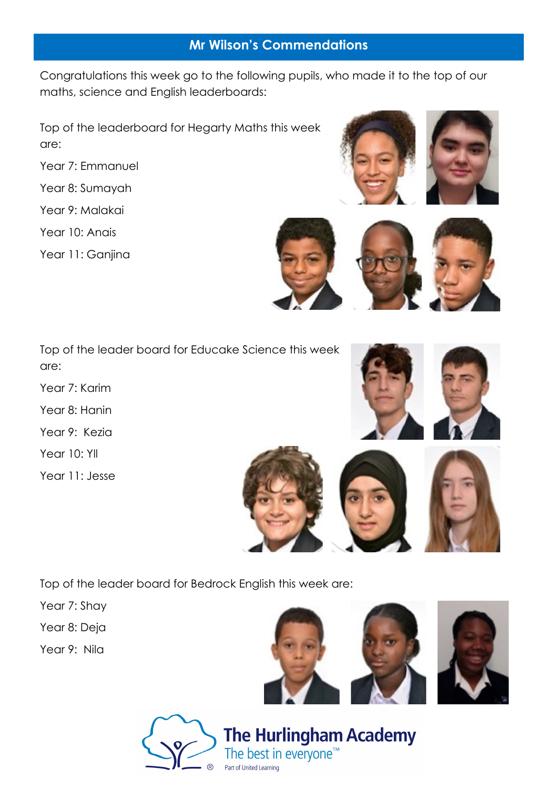#### **Mr Wilson's Commendations**

Congratulations this week go to the following pupils, who made it to the top of our maths, science and English leaderboards:

Top of the leaderboard for Hegarty Maths this week are:

Year 7: Emmanuel

Year 8: Sumayah

Year 9: Malakai

Year 10: Anais

Year 11: Ganjina







Top of the leader board for Educake Science this week are:

Year 7: Karim

Year 8: Hanin

Year 9: Kezia

Year 10: Yll

Year 11: Jesse





Top of the leader board for Bedrock English this week are:

Year 7: Shay

Year 8: Deja

Year 9: Nila